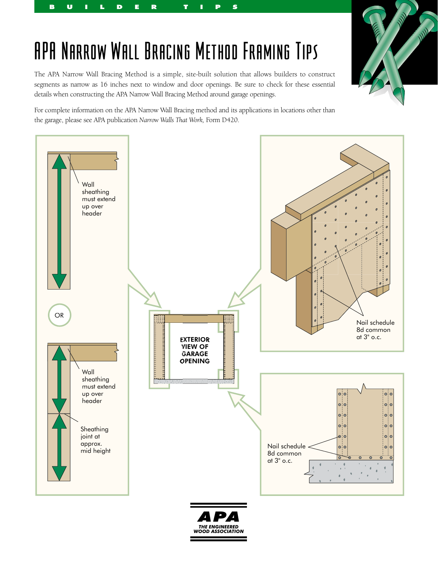## **RANTIN Williams**

## APA Narrow Wall Bracing Method Framing Tips

BUILDER TIPS

The APA Narrow Wall Bracing Method is a simple, site-built solution that allows builders to construct segments as narrow as 16 inches next to window and door openings. Be sure to check for these essential details when constructing the APA Narrow Wall Bracing Method around garage openings.

For complete information on the APA Narrow Wall Bracing method and its applications in locations other than the garage, please see APA publication *Narrow Walls That Work,* Form D420.